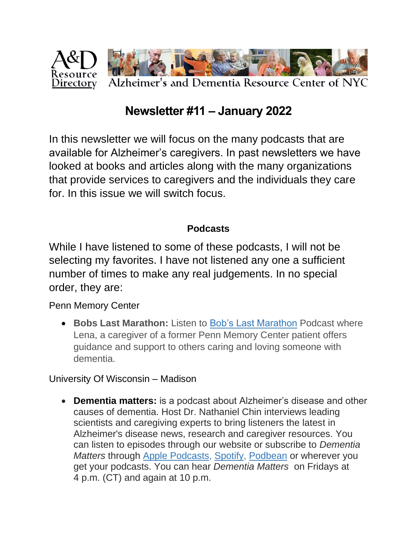

# **Newsletter #11 – January 2022**

In this newsletter we will focus on the many podcasts that are available for Alzheimer's caregivers. In past newsletters we have looked at books and articles along with the many organizations that provide services to caregivers and the individuals they care for. In this issue we will switch focus.

#### **Podcasts**

While I have listened to some of these podcasts, I will not be selecting my favorites. I have not listened any one a sufficient number of times to make any real judgements. In no special order, they are:

Penn Memory Center

• **Bobs Last Marathon:** Listen to [Bob's Last Marathon](https://bobsmarathon.com/) Podcast where Lena, a caregiver of a former Penn Memory Center patient offers guidance and support to others caring and loving someone with dementia.

University Of Wisconsin – Madison

• **Dementia matters:** is a podcast about Alzheimer's disease and other causes of dementia. Host Dr. Nathaniel Chin interviews leading scientists and caregiving experts to bring listeners the latest in Alzheimer's disease news, research and caregiver resources. You can listen to episodes through our website or subscribe to *Dementia Matters* through Apple [Podcasts,](https://itunes.apple.com/us/podcast/dementia-matters/id1292353638?mt=2) [Spotify,](https://open.spotify.com/show/16GEjnxUBzjukRaOsfCI76) [Podbean](https://dementiamatters.podbean.com/) or wherever you get your podcasts. You can hear *Dementia Matters* on Fridays at 4 p.m. (CT) and again at 10 p.m.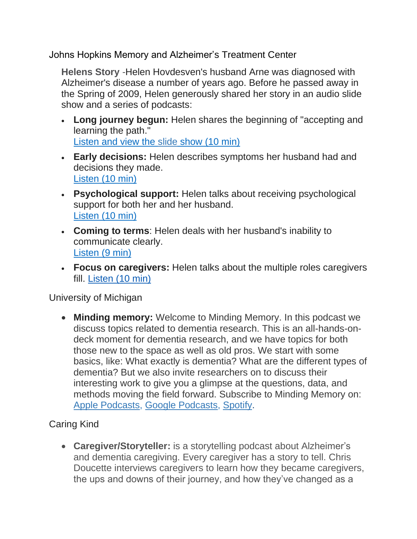Johns Hopkins Memory and Alzheimer's Treatment Center

**Helens Story** -Helen Hovdesven's husband Arne was diagnosed with Alzheimer's disease a number of years ago. Before he passed away in the Spring of 2009, Helen generously shared her story in an audio slide show and a series of podcasts:

- **Long journey begun:** Helen shares the beginning of "accepting and learning the path." [Listen and view the slide](https://www.hopkinsmedicine.org/mediaII/Podcasts/AlzheimersPod.swf) show (10 min)
- **Early decisions:** Helen describes symptoms her husband had and decisions they made. [Listen \(10 min\)](http://podcasts.hopkinsmedicine.org/helen1final/)
- **Psychological support:** Helen talks about receiving psychological support for both her and her husband. [Listen \(10 min\)](http://podcasts.hopkinsmedicine.org/helen2final/)
- **Coming to terms**: Helen deals with her husband's inability to communicate clearly. [Listen \(9 min\)](http://podcasts.hopkinsmedicine.org/helen3final/)
- **Focus on caregivers:** Helen talks about the multiple roles caregivers fill. [Listen \(10 min\)](http://podcasts.hopkinsmedicine.org/helen4final/)

University of Michigan

• **Minding memory:** Welcome to Minding Memory. In this podcast we discuss topics related to dementia research. This is an all-hands-ondeck moment for dementia research, and we have topics for both those new to the space as well as old pros. We start with some basics, like: What exactly is dementia? What are the different types of dementia? But we also invite researchers on to discuss their interesting work to give you a glimpse at the questions, data, and methods moving the field forward. Subscribe to Minding Memory on: [Apple Podcasts,](https://podcasts.apple.com/us/podcast/minding-memory/id1589848689) [Google Podcasts,](https://podcasts.google.com/search/minding%20memory) [Spotify.](https://open.spotify.com/show/0fYyXA7a5jAqg7fEpBf6KK)

#### Caring Kind

• **Caregiver/Storyteller:** is a storytelling podcast about Alzheimer's and dementia caregiving. Every caregiver has a story to tell. Chris Doucette interviews caregivers to learn how they became caregivers, the ups and downs of their journey, and how they've changed as a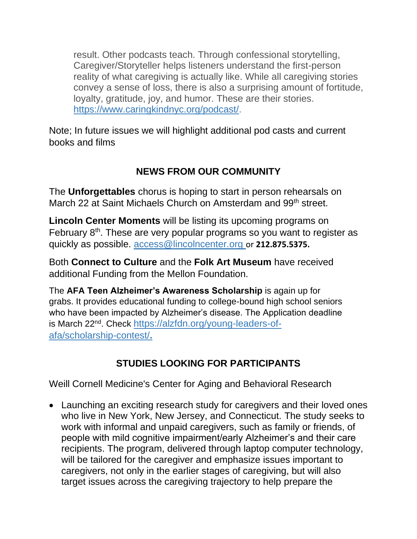result. Other podcasts teach. Through confessional storytelling, Caregiver/Storyteller helps listeners understand the first-person reality of what caregiving is actually like. While all caregiving stories convey a sense of loss, there is also a surprising amount of fortitude, loyalty, gratitude, joy, and humor. These are their stories. [https://www.caringkindnyc.org/podcast/.](https://www.caringkindnyc.org/podcast/)

Note; In future issues we will highlight additional pod casts and current books and films

### **NEWS FROM OUR COMMUNITY**

The **Unforgettables** chorus is hoping to start in person rehearsals on March 22 at Saint Michaels Church on Amsterdam and 99<sup>th</sup> street.

**Lincoln Center Moments** will be listing its upcoming programs on February  $8<sup>th</sup>$ . These are very popular programs so you want to register as quickly as possible. [access@lincolncenter.org](mailto:access@lincolncenter.org?body=%0A) or **212.875.5375.**

Both **Connect to Culture** and the **Folk Art Museum** have received additional Funding from the Mellon Foundation.

The **AFA Teen Alzheimer's Awareness Scholarship** is again up for grabs. It provides educational funding to college-bound high school seniors who have been impacted by Alzheimer's disease. The Application deadline is March 22<sup>nd</sup>. Check [https://alzfdn.org/young-leaders-of](https://alzfdn.org/young-leaders-of-afa/scholarship-contest/)[afa/scholarship-contest/](https://alzfdn.org/young-leaders-of-afa/scholarship-contest/)**.**

## **STUDIES LOOKING FOR PARTICIPANTS**

Weill Cornell Medicine's Center for Aging and Behavioral Research

• Launching an exciting research study for caregivers and their loved ones who live in New York, New Jersey, and Connecticut. The study seeks to work with informal and unpaid caregivers, such as family or friends, of people with mild cognitive impairment/early Alzheimer's and their care recipients. The program, delivered through laptop computer technology, will be tailored for the caregiver and emphasize issues important to caregivers, not only in the earlier stages of caregiving, but will also target issues across the caregiving trajectory to help prepare the